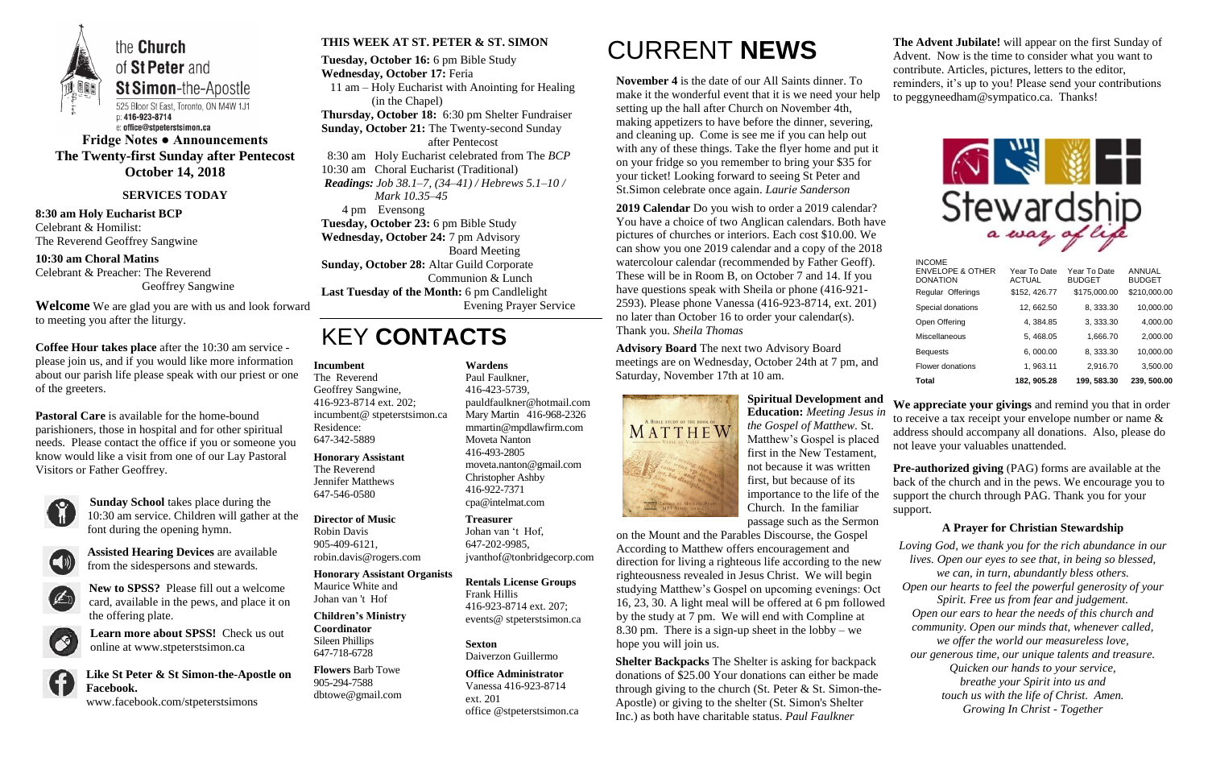

**Fridge Notes ● Announcements The Twenty-first Sunday after Pentecost October 14, 2018**

**SERVICES TODAY**

**8:30 am Holy Eucharist BCP** Celebrant & Homilist: The Reverend Geoffrey Sangwine

**10:30 am Choral Matins** Celebrant & Preacher: The Reverend Geoffrey Sangwine

**Welcome** We are glad you are with us and look forward to meeting you after the liturgy.

**Coffee Hour takes place** after the 10:30 am service please join us, and if you would like more information about our parish life please speak with our priest or one of the greeters.

**Pastoral Care** is available for the home-bound parishioners, those in hospital and for other spiritual needs. Please contact the office if you or someone you know would like a visit from one of our Lay Pastoral Visitors or Father Geoffrey.



**Sunday School** takes place during the 10:30 am service. Children will gather at the font during the opening hymn.



**Assisted Hearing Devices** are available from the sidespersons and stewards.



**New to SPSS?** Please fill out a welcome card, available in the pews, and place it on the offering plate.



**Learn more about SPSS!** Check us out online at www.stpeterstsimon.ca

**Like St Peter & St Simon-the-Apostle on Facebook.**  www.facebook.com/stpeterstsimons

### **THIS WEEK AT ST. PETER & ST. SIMON**

**Tuesday, October 16:** 6 pm Bible Study **Wednesday, October 17:** Feria 11 am – Holy Eucharist with Anointing for Healing (in the Chapel) **Thursday, October 18:** 6:30 pm Shelter Fundraiser **Sunday, October 21:** The Twenty-second Sunday after Pentecost 8:30 am Holy Eucharist celebrated from The *BCP* 10:30 am Choral Eucharist (Traditional) *Readings: Job 38.1–7, (34–41) / Hebrews 5.1–10 / Mark 10.35–45* 4 pm Evensong **Tuesday, October 23:** 6 pm Bible Study **Wednesday, October 24:** 7 pm Advisory Board Meeting **Sunday, October 28:** Altar Guild Corporate Communion & Lunch **Last Tuesday of the Month:** 6 pm Candlelight Evening Prayer Service

# KEY **CONTACTS**

# CURRENT **NEWS**

**November 4** is the date of our All Saints dinner. To make it the wonderful event that it is we need your help setting up the hall after Church on November 4th, making appetizers to have before the dinner, severing, and cleaning up. Come is see me if you can help out with any of these things. Take the flyer home and put it on your fridge so you remember to bring your \$35 for your ticket! Looking forward to seeing St Peter and St.Simon celebrate once again. *Laurie Sanderson*

> **Pre-authorized giving** (PAG) forms are available at the back of the church and in the pews. We encourage you to support the church through PAG. Thank you for your support.

**2019 Calendar** Do you wish to order a 2019 calendar? You have a choice of two Anglican calendars. Both have pictures of churches or interiors. Each cost \$10.00. We can show you one 2019 calendar and a copy of the 2018 watercolour calendar (recommended by Father Geoff). These will be in Room B, on October 7 and 14. If you have questions speak with Sheila or phone (416-921- 2593). Please phone Vanessa (416-923-8714, ext. 201) no later than October 16 to order your calendar(s). Thank you. *Sheila Thomas*

**Advisory Board** The next two Advisory Board meetings are on Wednesday, October 24th at 7 pm, and Saturday, November 17th at 10 am.



**Spiritual Development and Education:** *Meeting Jesus in the Gospel of Matthew.* St. Matthew's Gospel is placed first in the New Testament, not because it was written first, but because of its importance to the life of the Church. In the familiar passage such as the Sermon

**Shelter Backpacks** The Shelter is asking for backpack donations of \$25.00 Your donations can either be made through giving to the church (St. Peter & St. Simon-the-Apostle) or giving to the shelter (St. Simon's Shelter Inc.) as both have charitable status. *Paul Faulkner*

**The Advent Jubilate!** will appear on the first Sunday of Advent. Now is the time to consider what you want to contribute. Articles, pictures, letters to the editor, reminders, it's up to you! Please send your contributions to peggyneedham@sympatico.ca. Thanks!



on the Mount and the Parables Discourse, the Gospel According to Matthew offers encouragement and direction for living a righteous life according to the new righteousness revealed in Jesus Christ. We will begin studying Matthew's Gospel on upcoming evenings: Oct 16, 23, 30. A light meal will be offered at 6 pm followed by the study at 7 pm. We will end with Compline at 8.30 pm. There is a sign-up sheet in the lobby – we hope you will join us. *Loving God, we thank you for the rich abundance in our lives. Open our eyes to see that, in being so blessed, we can, in turn, abundantly bless others. Open our hearts to feel the powerful generosity of your Spirit. Free us from fear and judgement. Open our ears to hear the needs of this church and community. Open our minds that, whenever called, we offer the world our measureless love, our generous time, our unique talents and treasure. Quicken our hands to your service, breathe your Spirit into us and touch us with the life of Christ. Amen. Growing In Christ - Together*

 $II$ 

**We appreciate your givings** and remind you that in order to receive a tax receipt your envelope number or name & address should accompany all donations. Also, please do not leave your valuables unattended.

## **A Prayer for Christian Stewardship**

### **Incumbent**

The Reverend Geoffrey Sangwine, 416-923-8714 ext. 202; incumbent@ stpeterstsimon.ca Residence: 647-342-5889

**Honorary Assistant** The Reverend Jennifer Matthews 647-546-0580

### **Director of Music**

Robin Davis 905-409-6121, robin.davis@rogers.com

#### **Honorary Assistant Organists**

Maurice White and Johan van 't Hof

**Children's Ministry Coordinator** Sileen Phillips 647-718-6728

**Flowers** Barb Towe 905-294-7588 dbtowe@gmail.com

### **Wardens**

Paul Faulkner, 416-423-5739, [pauldfaulkner@hotmail.com](mailto:pauldfaulkner@hotmail.com)  Mary Martin 416-968-2326 mmartin@mpdlawfirm.com Moveta Nanton 416-493-2805 moveta.nanton@gmail.com Christopher Ashby 416-922-7371 cpa@intelmat.com

#### **Treasurer**

Johan van 't Hof, 647-202-9985, jvanthof@tonbridgecorp.com

#### **Rentals License Groups**

Frank Hillis 416-923-8714 ext. 207; events@ stpeterstsimon.ca

#### **Sexton** Daiverzon Guillermo

**Office Administrator** Vanessa 416-923-8714 ext. 201 office @stpeterstsimon.ca

| <b>Total</b>                                                    |                               |                               |                                |
|-----------------------------------------------------------------|-------------------------------|-------------------------------|--------------------------------|
| Flower donations                                                | 1, 963.11                     | 2,916.70                      | 3,500.00                       |
| <b>Bequests</b>                                                 | 6,000.00                      | 8, 333.30                     | 10,000.00                      |
| Miscellaneous                                                   | 5, 468.05                     | 1,666.70                      | 2,000.00                       |
| Open Offering                                                   | 4, 384.85                     | 3, 333.30                     | 4,000.00                       |
| Special donations                                               | 12, 662.50                    | 8, 333.30                     | 10,000.00                      |
| Regular Offerings                                               | \$152, 426.77                 | \$175,000.00                  | \$210,000.00                   |
| <b>INUUME</b><br><b>ENVELOPE &amp; OTHER</b><br><b>DONATION</b> | Year To Date<br><b>ACTUAL</b> | Year To Date<br><b>BUDGET</b> | <b>ANNUAL</b><br><b>BUDGET</b> |